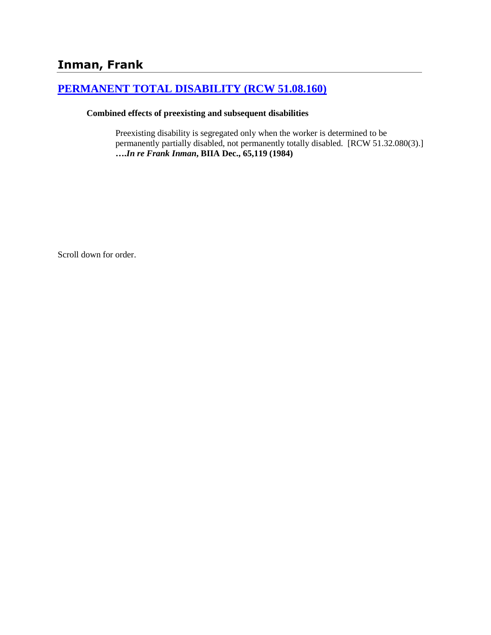# **Inman, Frank**

## **[PERMANENT TOTAL DISABILITY \(RCW 51.08.160\)](http://www.biia.wa.gov/SDSubjectIndex.html#PERMANENT_TOTAL_DISABILITY)**

#### **Combined effects of preexisting and subsequent disabilities**

Preexisting disability is segregated only when the worker is determined to be permanently partially disabled, not permanently totally disabled. [RCW 51.32.080(3).] **….***In re Frank Inman***, BIIA Dec., 65,119 (1984)**

Scroll down for order.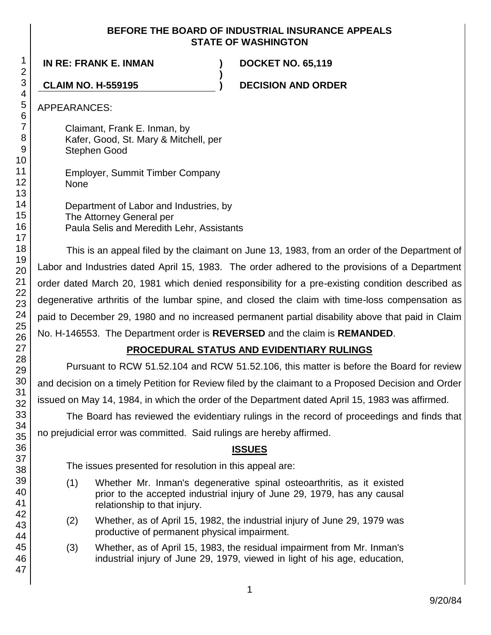#### **BEFORE THE BOARD OF INDUSTRIAL INSURANCE APPEALS STATE OF WASHINGTON**

**)**

**IN RE: FRANK E. INMAN ) DOCKET NO. 65,119**

**CLAIM NO. H-559195 ) DECISION AND ORDER**

APPEARANCES:

Claimant, Frank E. Inman, by Kafer, Good, St. Mary & Mitchell, per Stephen Good

Employer, Summit Timber Company **None** 

Department of Labor and Industries, by The Attorney General per Paula Selis and Meredith Lehr, Assistants

This is an appeal filed by the claimant on June 13, 1983, from an order of the Department of Labor and Industries dated April 15, 1983. The order adhered to the provisions of a Department order dated March 20, 1981 which denied responsibility for a pre-existing condition described as degenerative arthritis of the lumbar spine, and closed the claim with time-loss compensation as paid to December 29, 1980 and no increased permanent partial disability above that paid in Claim No. H-146553. The Department order is **REVERSED** and the claim is **REMANDED**.

## **PROCEDURAL STATUS AND EVIDENTIARY RULINGS**

Pursuant to RCW 51.52.104 and RCW 51.52.106, this matter is before the Board for review and decision on a timely Petition for Review filed by the claimant to a Proposed Decision and Order issued on May 14, 1984, in which the order of the Department dated April 15, 1983 was affirmed.

The Board has reviewed the evidentiary rulings in the record of proceedings and finds that no prejudicial error was committed. Said rulings are hereby affirmed.

## **ISSUES**

The issues presented for resolution in this appeal are:

- (1) Whether Mr. Inman's degenerative spinal osteoarthritis, as it existed prior to the accepted industrial injury of June 29, 1979, has any causal relationship to that injury.
- (2) Whether, as of April 15, 1982, the industrial injury of June 29, 1979 was productive of permanent physical impairment.
- (3) Whether, as of April 15, 1983, the residual impairment from Mr. Inman's industrial injury of June 29, 1979, viewed in light of his age, education,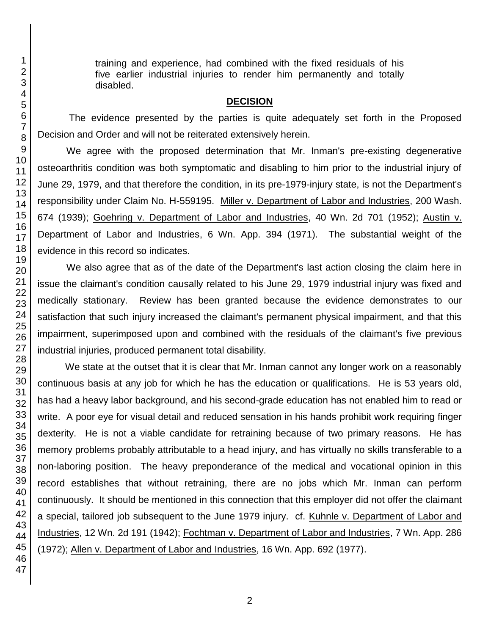training and experience, had combined with the fixed residuals of his five earlier industrial injuries to render him permanently and totally disabled.

#### **DECISION**

The evidence presented by the parties is quite adequately set forth in the Proposed Decision and Order and will not be reiterated extensively herein.

We agree with the proposed determination that Mr. Inman's pre-existing degenerative osteoarthritis condition was both symptomatic and disabling to him prior to the industrial injury of June 29, 1979, and that therefore the condition, in its pre-1979-injury state, is not the Department's responsibility under Claim No. H-559195. Miller v. Department of Labor and Industries, 200 Wash. 674 (1939); Goehring v. Department of Labor and Industries, 40 Wn. 2d 701 (1952); Austin v. Department of Labor and Industries, 6 Wn. App. 394 (1971). The substantial weight of the evidence in this record so indicates.

We also agree that as of the date of the Department's last action closing the claim here in issue the claimant's condition causally related to his June 29, 1979 industrial injury was fixed and medically stationary. Review has been granted because the evidence demonstrates to our satisfaction that such injury increased the claimant's permanent physical impairment, and that this impairment, superimposed upon and combined with the residuals of the claimant's five previous industrial injuries, produced permanent total disability.

We state at the outset that it is clear that Mr. Inman cannot any longer work on a reasonably continuous basis at any job for which he has the education or qualifications. He is 53 years old, has had a heavy labor background, and his second-grade education has not enabled him to read or write. A poor eye for visual detail and reduced sensation in his hands prohibit work requiring finger dexterity. He is not a viable candidate for retraining because of two primary reasons. He has memory problems probably attributable to a head injury, and has virtually no skills transferable to a non-laboring position. The heavy preponderance of the medical and vocational opinion in this record establishes that without retraining, there are no jobs which Mr. Inman can perform continuously. It should be mentioned in this connection that this employer did not offer the claimant a special, tailored job subsequent to the June 1979 injury. cf. Kuhnle v. Department of Labor and Industries, 12 Wn. 2d 191 (1942); Fochtman v. Department of Labor and Industries, 7 Wn. App. 286 (1972); Allen v. Department of Labor and Industries, 16 Wn. App. 692 (1977).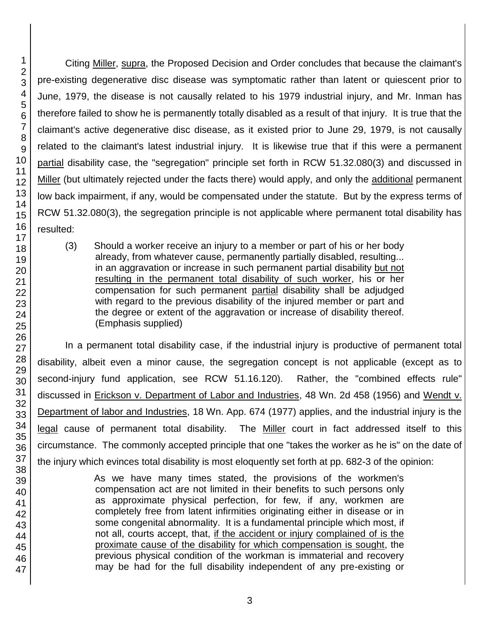Citing Miller, supra, the Proposed Decision and Order concludes that because the claimant's pre-existing degenerative disc disease was symptomatic rather than latent or quiescent prior to June, 1979, the disease is not causally related to his 1979 industrial injury, and Mr. Inman has therefore failed to show he is permanently totally disabled as a result of that injury. It is true that the claimant's active degenerative disc disease, as it existed prior to June 29, 1979, is not causally related to the claimant's latest industrial injury. It is likewise true that if this were a permanent partial disability case, the "segregation" principle set forth in RCW 51.32.080(3) and discussed in Miller (but ultimately rejected under the facts there) would apply, and only the additional permanent low back impairment, if any, would be compensated under the statute. But by the express terms of RCW 51.32.080(3), the segregation principle is not applicable where permanent total disability has resulted:

(3) Should a worker receive an injury to a member or part of his or her body already, from whatever cause, permanently partially disabled, resulting... in an aggravation or increase in such permanent partial disability but not resulting in the permanent total disability of such worker, his or her compensation for such permanent partial disability shall be adjudged with regard to the previous disability of the injured member or part and the degree or extent of the aggravation or increase of disability thereof. (Emphasis supplied)

In a permanent total disability case, if the industrial injury is productive of permanent total disability, albeit even a minor cause, the segregation concept is not applicable (except as to second-injury fund application, see RCW 51.16.120). Rather, the "combined effects rule" discussed in Erickson v. Department of Labor and Industries, 48 Wn. 2d 458 (1956) and Wendt v. Department of labor and Industries, 18 Wn. App. 674 (1977) applies, and the industrial injury is the legal cause of permanent total disability. The Miller court in fact addressed itself to this circumstance. The commonly accepted principle that one "takes the worker as he is" on the date of the injury which evinces total disability is most eloquently set forth at pp. 682-3 of the opinion:

> As we have many times stated, the provisions of the workmen's compensation act are not limited in their benefits to such persons only as approximate physical perfection, for few, if any, workmen are completely free from latent infirmities originating either in disease or in some congenital abnormality. It is a fundamental principle which most, if not all, courts accept, that, if the accident or injury complained of is the proximate cause of the disability for which compensation is sought, the previous physical condition of the workman is immaterial and recovery may be had for the full disability independent of any pre-existing or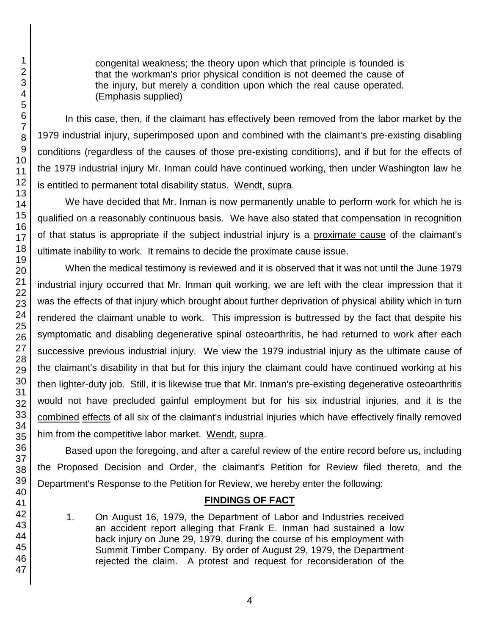congenital weakness; the theory upon which that principle is founded is that the workman's prior physical condition is not deemed the cause of the injury, but merely a condition upon which the real cause operated. (Emphasis supplied)

In this case, then, if the claimant has effectively been removed from the labor market by the 1979 industrial injury, superimposed upon and combined with the claimant's pre-existing disabling conditions (regardless of the causes of those pre-existing conditions), and if but for the effects of the 1979 industrial injury Mr. Inman could have continued working, then under Washington law he is entitled to permanent total disability status. Wendt, supra.

We have decided that Mr. Inman is now permanently unable to perform work for which he is qualified on a reasonably continuous basis. We have also stated that compensation in recognition of that status is appropriate if the subject industrial injury is a proximate cause of the claimant's ultimate inability to work. It remains to decide the proximate cause issue.

When the medical testimony is reviewed and it is observed that it was not until the June 1979 industrial injury occurred that Mr. Inman quit working, we are left with the clear impression that it was the effects of that injury which brought about further deprivation of physical ability which in turn rendered the claimant unable to work. This impression is buttressed by the fact that despite his symptomatic and disabling degenerative spinal osteoarthritis, he had returned to work after each successive previous industrial injury. We view the 1979 industrial injury as the ultimate cause of the claimant's disability in that but for this injury the claimant could have continued working at his then lighter-duty job. Still, it is likewise true that Mr. Inman's pre-existing degenerative osteoarthritis would not have precluded gainful employment but for his six industrial injuries, and it is the combined effects of all six of the claimant's industrial injuries which have effectively finally removed him from the competitive labor market. Wendt, supra.

Based upon the foregoing, and after a careful review of the entire record before us, including the Proposed Decision and Order, the claimant's Petition for Review filed thereto, and the Department's Response to the Petition for Review, we hereby enter the following:

## **FINDINGS OF FACT**

1. On August 16, 1979, the Department of Labor and Industries received an accident report alleging that Frank E. Inman had sustained a low back injury on June 29, 1979, during the course of his employment with Summit Timber Company. By order of August 29, 1979, the Department rejected the claim. A protest and request for reconsideration of the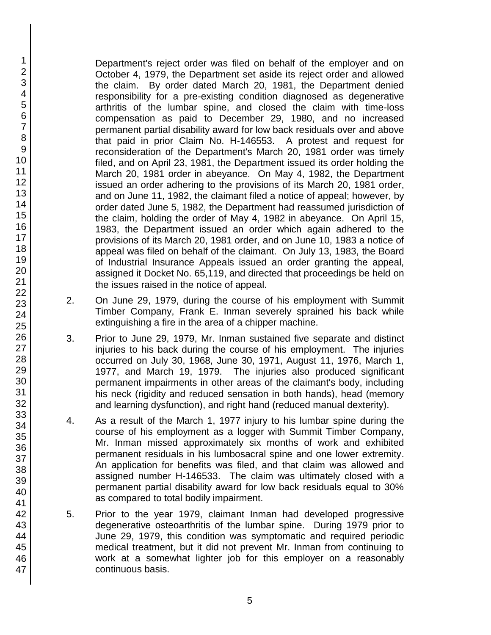Department's reject order was filed on behalf of the employer and on October 4, 1979, the Department set aside its reject order and allowed the claim. By order dated March 20, 1981, the Department denied responsibility for a pre-existing condition diagnosed as degenerative arthritis of the lumbar spine, and closed the claim with time-loss compensation as paid to December 29, 1980, and no increased permanent partial disability award for low back residuals over and above that paid in prior Claim No. H-146553. A protest and request for reconsideration of the Department's March 20, 1981 order was timely filed, and on April 23, 1981, the Department issued its order holding the March 20, 1981 order in abeyance. On May 4, 1982, the Department issued an order adhering to the provisions of its March 20, 1981 order, and on June 11, 1982, the claimant filed a notice of appeal; however, by order dated June 5, 1982, the Department had reassumed jurisdiction of the claim, holding the order of May 4, 1982 in abeyance. On April 15, 1983, the Department issued an order which again adhered to the provisions of its March 20, 1981 order, and on June 10, 1983 a notice of appeal was filed on behalf of the claimant. On July 13, 1983, the Board of Industrial Insurance Appeals issued an order granting the appeal, assigned it Docket No. 65,119, and directed that proceedings be held on the issues raised in the notice of appeal.

- 2. On June 29, 1979, during the course of his employment with Summit Timber Company, Frank E. Inman severely sprained his back while extinguishing a fire in the area of a chipper machine.
- 3. Prior to June 29, 1979, Mr. Inman sustained five separate and distinct injuries to his back during the course of his employment. The injuries occurred on July 30, 1968, June 30, 1971, August 11, 1976, March 1, 1977, and March 19, 1979. The injuries also produced significant permanent impairments in other areas of the claimant's body, including his neck (rigidity and reduced sensation in both hands), head (memory and learning dysfunction), and right hand (reduced manual dexterity).
- 4. As a result of the March 1, 1977 injury to his lumbar spine during the course of his employment as a logger with Summit Timber Company, Mr. Inman missed approximately six months of work and exhibited permanent residuals in his lumbosacral spine and one lower extremity. An application for benefits was filed, and that claim was allowed and assigned number H-146533. The claim was ultimately closed with a permanent partial disability award for low back residuals equal to 30% as compared to total bodily impairment.
- 5. Prior to the year 1979, claimant Inman had developed progressive degenerative osteoarthritis of the lumbar spine. During 1979 prior to June 29, 1979, this condition was symptomatic and required periodic medical treatment, but it did not prevent Mr. Inman from continuing to work at a somewhat lighter job for this employer on a reasonably continuous basis.

1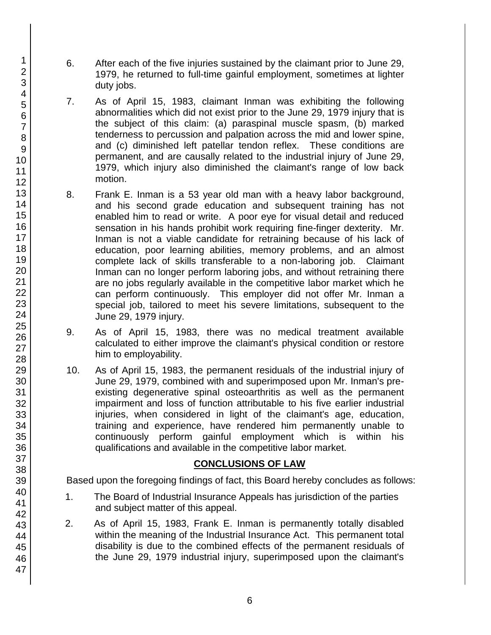- 6. After each of the five injuries sustained by the claimant prior to June 29, 1979, he returned to full-time gainful employment, sometimes at lighter duty jobs.
- 7. As of April 15, 1983, claimant Inman was exhibiting the following abnormalities which did not exist prior to the June 29, 1979 injury that is the subject of this claim: (a) paraspinal muscle spasm, (b) marked tenderness to percussion and palpation across the mid and lower spine, and (c) diminished left patellar tendon reflex. These conditions are permanent, and are causally related to the industrial injury of June 29, 1979, which injury also diminished the claimant's range of low back motion.
- 8. Frank E. Inman is a 53 year old man with a heavy labor background, and his second grade education and subsequent training has not enabled him to read or write. A poor eye for visual detail and reduced sensation in his hands prohibit work requiring fine-finger dexterity. Mr. Inman is not a viable candidate for retraining because of his lack of education, poor learning abilities, memory problems, and an almost complete lack of skills transferable to a non-laboring job. Claimant Inman can no longer perform laboring jobs, and without retraining there are no jobs regularly available in the competitive labor market which he can perform continuously. This employer did not offer Mr. Inman a special job, tailored to meet his severe limitations, subsequent to the June 29, 1979 injury.
- 9. As of April 15, 1983, there was no medical treatment available calculated to either improve the claimant's physical condition or restore him to employability.
- 10. As of April 15, 1983, the permanent residuals of the industrial injury of June 29, 1979, combined with and superimposed upon Mr. Inman's preexisting degenerative spinal osteoarthritis as well as the permanent impairment and loss of function attributable to his five earlier industrial injuries, when considered in light of the claimant's age, education, training and experience, have rendered him permanently unable to continuously perform gainful employment which is within his qualifications and available in the competitive labor market.

### **CONCLUSIONS OF LAW**

Based upon the foregoing findings of fact, this Board hereby concludes as follows:

- 1. The Board of Industrial Insurance Appeals has jurisdiction of the parties and subject matter of this appeal.
- 2. As of April 15, 1983, Frank E. Inman is permanently totally disabled within the meaning of the Industrial Insurance Act. This permanent total disability is due to the combined effects of the permanent residuals of the June 29, 1979 industrial injury, superimposed upon the claimant's